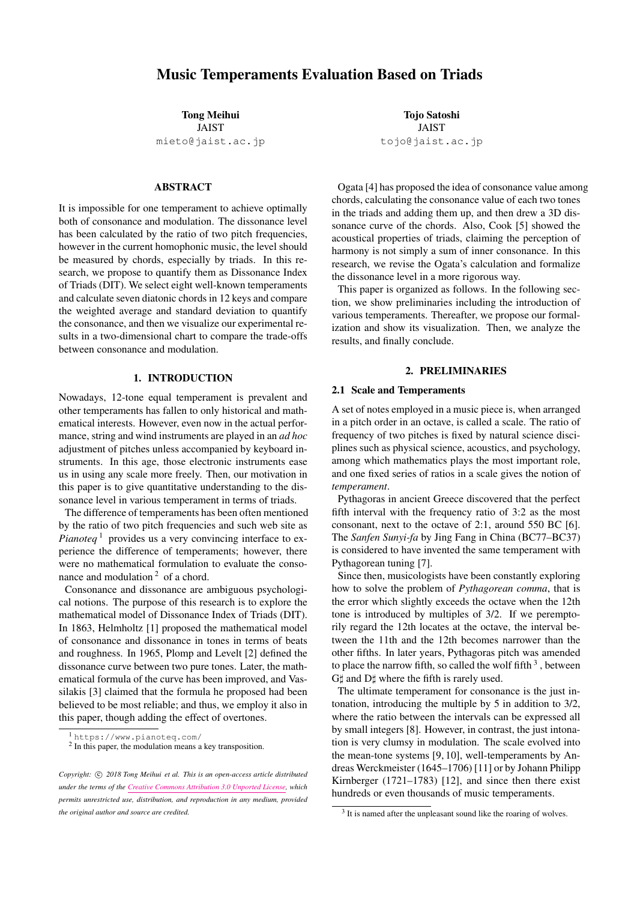# Music Temperaments Evaluation Based on Triads

Tong Meihui

JAIST [mieto@jaist.ac.jp](mailto:mieto@jaist.ac.jp)

## ABSTRACT

It is impossible for one temperament to achieve optimally both of consonance and modulation. The dissonance level has been calculated by the ratio of two pitch frequencies, however in the current homophonic music, the level should be measured by chords, especially by triads. In this research, we propose to quantify them as Dissonance Index of Triads (DIT). We select eight well-known temperaments and calculate seven diatonic chords in 12 keys and compare the weighted average and standard deviation to quantify the consonance, and then we visualize our experimental results in a two-dimensional chart to compare the trade-offs between consonance and modulation.

### 1. INTRODUCTION

Nowadays, 12-tone equal temperament is prevalent and other temperaments has fallen to only historical and mathematical interests. However, even now in the actual performance, string and wind instruments are played in an *ad hoc* adjustment of pitches unless accompanied by keyboard instruments. In this age, those electronic instruments ease us in using any scale more freely. Then, our motivation in this paper is to give quantitative understanding to the dissonance level in various temperament in terms of triads.

The difference of temperaments has been often mentioned by the ratio of two pitch frequencies and such web site as *Pianoteq*<sup>1</sup> provides us a very convincing interface to experience the difference of temperaments; however, there were no mathematical formulation to evaluate the consonance and modulation  $2$  of a chord.

Consonance and dissonance are ambiguous psychological notions. The purpose of this research is to explore the mathematical model of Dissonance Index of Triads (DIT). In 1863, Helmholtz [1] proposed the mathematical model of consonance and dissonance in tones in terms of beats and roughness. In 1965, Plomp and Levelt [2] defined the dissonance curve between two pure tones. Later, the mathematical formula of the curve has been improved, and Vassilakis [3] claimed that the formula he proposed had been believed to be most reliable; and thus, we employ it also in this paper, though adding the effect of overtones.

Tojo Satoshi JAIST [tojo@jaist.ac.jp](mailto:tojo@jaist.ac.jp)

Ogata [4] has proposed the idea of consonance value among chords, calculating the consonance value of each two tones in the triads and adding them up, and then drew a 3D dissonance curve of the chords. Also, Cook [5] showed the acoustical properties of triads, claiming the perception of harmony is not simply a sum of inner consonance. In this research, we revise the Ogata's calculation and formalize the dissonance level in a more rigorous way.

This paper is organized as follows. In the following section, we show preliminaries including the introduction of various temperaments. Thereafter, we propose our formalization and show its visualization. Then, we analyze the results, and finally conclude.

### 2. PRELIMINARIES

#### 2.1 Scale and Temperaments

A set of notes employed in a music piece is, when arranged in a pitch order in an octave, is called a scale. The ratio of frequency of two pitches is fixed by natural science disciplines such as physical science, acoustics, and psychology, among which mathematics plays the most important role, and one fixed series of ratios in a scale gives the notion of *temperament*.

Pythagoras in ancient Greece discovered that the perfect fifth interval with the frequency ratio of 3:2 as the most consonant, next to the octave of 2:1, around 550 BC [6]. The *Sanfen Sunyi-fa* by Jing Fang in China (BC77–BC37) is considered to have invented the same temperament with Pythagorean tuning [7].

Since then, musicologists have been constantly exploring how to solve the problem of *Pythagorean comma*, that is the error which slightly exceeds the octave when the 12th tone is introduced by multiples of 3/2. If we peremptorily regard the 12th locates at the octave, the interval between the 11th and the 12th becomes narrower than the other fifths. In later years, Pythagoras pitch was amended to place the narrow fifth, so called the wolf fifth  $\frac{3}{2}$ , between  $G\sharp$  and  $D\sharp$  where the fifth is rarely used.

The ultimate temperament for consonance is the just intonation, introducing the multiple by 5 in addition to 3/2, where the ratio between the intervals can be expressed all by small integers [8]. However, in contrast, the just intonation is very clumsy in modulation. The scale evolved into the mean-tone systems [9, 10], well-temperaments by Andreas Werckmeister (1645–1706) [11] or by Johann Philipp Kirnberger (1721–1783) [12], and since then there exist hundreds or even thousands of music temperaments.

<sup>1</sup> https://www.pianoteq.com/

<sup>&</sup>lt;sup>2</sup> In this paper, the modulation means a key transposition.

Copyright:  $\odot$  2018 Tong Meihui et al. This is an open-access article distributed *under the terms of the [Creative Commons Attribution 3.0 Unported License,](http://creativecommons.org/licenses/by/3.0/) which permits unrestricted use, distribution, and reproduction in any medium, provided the original author and source are credited.*

<sup>&</sup>lt;sup>3</sup> It is named after the unpleasant sound like the roaring of wolves.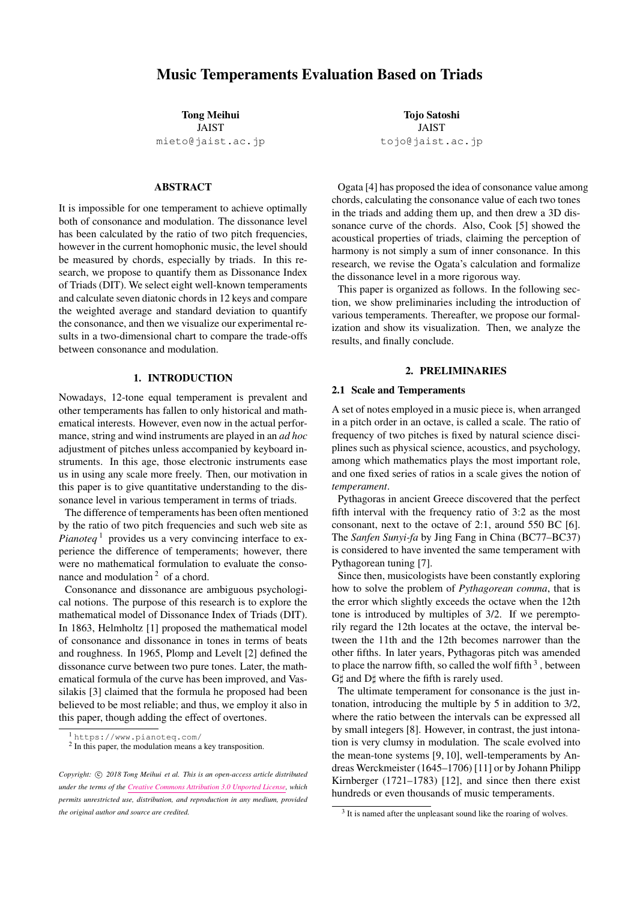|                          | C            | ${}^bD$                       | D                               | ${}^bE$                       | $E\,$                                       | $\boldsymbol{F}$            | # $\cal F$                 | G                        | $^bA$                | $\boldsymbol{A}$                         | ${}^bB$                       | $\boldsymbol{B}$              |
|--------------------------|--------------|-------------------------------|---------------------------------|-------------------------------|---------------------------------------------|-----------------------------|----------------------------|--------------------------|----------------------|------------------------------------------|-------------------------------|-------------------------------|
| Sanfen Sunyi-fa          | T            | $\frac{3^7}{2^{11}}$          | $\frac{9}{8}$                   | $\frac{3^9}{2^{14}}$          | $\frac{81}{64}$                             | $3^{11}$<br>$\frac{5}{217}$ | $\frac{729}{512}$          | $\frac{3}{2}$            | $\frac{2^{12}}{3^8}$ | $\frac{27}{16}$                          | $\frac{2^{15}}{3^{10}}$       | $\frac{243}{128}$             |
| Pythagorean Tuning       | 1            | $\frac{256}{243}$             | $\frac{9}{8}$                   | $\frac{32}{27}$               | $\frac{81}{64}$                             | $\frac{4}{3}$               | $\frac{729}{512}$          | $\frac{3}{2}$            | $\frac{128}{81}$     | $\frac{27}{16}$                          | $\frac{16}{9}$                | $\frac{243}{128}$             |
| Just Intonation          | 1            | $\frac{16}{15}$               | $\frac{9}{8}$                   | $rac{6}{5}$                   | $rac{5}{4}$                                 | $\frac{4}{3}$               | $\frac{45}{32}$            | $\frac{3}{2}$            | $\frac{8}{5}$        | $rac{5}{3}$                              | $\frac{16}{9}$                | $\frac{15}{8}$                |
| Quarter-Comma Meantone   |              | $\frac{2^3}{5^{\frac{5}{4}}}$ | $\frac{5^{\frac{1}{2}}}{2}$     | $\frac{2^2}{5^{\frac{3}{4}}}$ | $\frac{5}{4}$                               | $rac{2}{5^{\frac{1}{4}}}$   | $\frac{5\frac{6}{4}}{2^3}$ | $5^{\frac{1}{4}}$        | $\frac{8}{5}$        | $rac{5\frac{3}{4}}{2}$                   | $\frac{2^2}{5^{\frac{1}{2}}}$ | $\frac{5^{\frac{5}{4}}}{2^2}$ |
| Conventional QC Meantone |              | $\frac{5\frac{7}{4}}{2^4}$    | $rac{5}{2}$                     | $\frac{2^2}{5^{\frac{3}{4}}}$ | $\frac{5}{4}$                               | $\frac{2}{5^{\frac{1}{4}}}$ | $\frac{5\frac{6}{4}}{2^3}$ | $5^{\frac{1}{4}}$        | $\frac{5^2}{2^4}$    | $\frac{5^{\frac{3}{4}}}{2}$              | $\frac{2^2}{5^{\frac{1}{2}}}$ | $\frac{5\frac{5}{4}}{2^2}$    |
| Werckmeister             | $\mathbf{1}$ | $\frac{2^8}{3^5}$             | $64\sqrt{2}$<br>$\overline{81}$ | $\frac{32}{27}$               | $2^{13}$<br>$\sqrt[4]{2}$<br>3 <sup>8</sup> | $\frac{4}{3}$               | $\frac{2^{10}}{3^6}$       | $\frac{8\sqrt[4]{8}}{9}$ | $\frac{128}{81}$     | $2^{10} \sqrt[4]{2}$<br>$\overline{3^6}$ | $\frac{16}{9}$                | $128\sqrt[4]{2}$<br>81        |
| Kirnberger               |              | 135<br>$\overline{128}$       | $\frac{9}{8}$                   | $rac{32}{27}$                 | $\frac{5}{4}$                               | $rac{4}{3}$                 | $\frac{45}{32}$            | $rac{3}{2}$              | $\frac{128}{81}$     | $\frac{3\sqrt{5}}{4}$                    | $rac{16}{9}$                  | $\frac{15}{8}$                |
| <b>Equal Temperament</b> |              | $2^{\frac{1}{12}}$            | $2^{\frac{2}{12}}$              | $2^{\frac{3}{12}}$            | $2^{\frac{4}{12}}$                          | $2^{\frac{5}{12}}$          | $2^{\frac{6}{12}}$         | $2^{\frac{7}{12}}$       | $2^{\frac{8}{12}}$   | $2^{\frac{9}{12}}$                       | $2^{\frac{10}{12}}$           | $2^{\frac{11}{12}}$           |

Table 1: Ratios of Temperaments in Fractions

The equal temperament has been the product of compromise, which systematically compensated the Pythagorean comma, defining each half tone to be the 12th root of 2. Then, the temperament perfectly eased the modulation, that is, to enable us to change from one key to another freely, and was applied to the tuning of most modern musical instruments around the world. But we can never say that the equal temperament is satisfactory because it rejects the original intention of the temperament, *viz.*, the consonance between intervals. Table 1 lists the frequency ratios of some typical music temperaments introduced above.

## 2.2 Helmholtz's Theory of Beats

In physics, the superposition of two simple sinusoidal waves with similar but slightly different frequency will cause periodic fluctuation in strength through time. This phenomenon is known to piano tuners as *beats*. Hermann Helmholtz [1] concluded that dissonance is produced by the beats between two pure tones (without overtones) or between a pair of partials of two complex sounds.

When the difference in frequency is small, the beats can be easily heard. As the difference is increased to 20-30 Hz, the beats will create the impression like 'jarring and rough' described by Helmholtz. Beyond this approximate point, the beats gradually become too rapid to be identified and the sensation of roughness disappears.

#### 2.3 Dissonance Curve

In 1965, Plomp and Levelt confirmed Helmholtz's hypothesis by several experiments [2]. They plotted the dissonance curve and proposed the concept of critical bandwidth. Note that though the sound produced by the musical instruments has a complex timbre this psychological experiment employed only pure tones with the simplest spectrum. The combined experimental results is shown in Figure 1, and nowadays this result is widely accepted.

The figure shows the consonance/dissonance feeling when the frequency is apart from the fixed base tone. The vertical axis on the right side of the figure represents the degree



Figure 1: Dissonance Curve From a Fixed Tone to Another Tone [2]

of dissonance, and the interval is from 0 to 1 from top to bottom. The lower the vertical value is in this figure, the more dissonant. The horizontal axis is the frequency difference between higher tone and the base tone, divided by the value of the critical bandwidth. As the frequency difference gradually becomes larger, we can observe the result of the dissonance value  $d$  between the two pure tones varying. The most dissonant position  $(d = 1)$  is said to be about a quarter of the critical band.

When the frequency of the tone is too high or too low to be heard by human ears, the identification of the tones becomes not that easy. When the horizontal axis of the dissonance curve only takes the frequency difference (without divided by critical bandwidth), we need to draw many different graphs according to the difference of base tones.

## 2.4 Numerical Calculation of Dissonance in Two Tones

Among various proposals [13–15] on the numerical calculation of dissonance, Vassilakis suggested two principal studies [16, 17], incorporating the notion of roughness [3].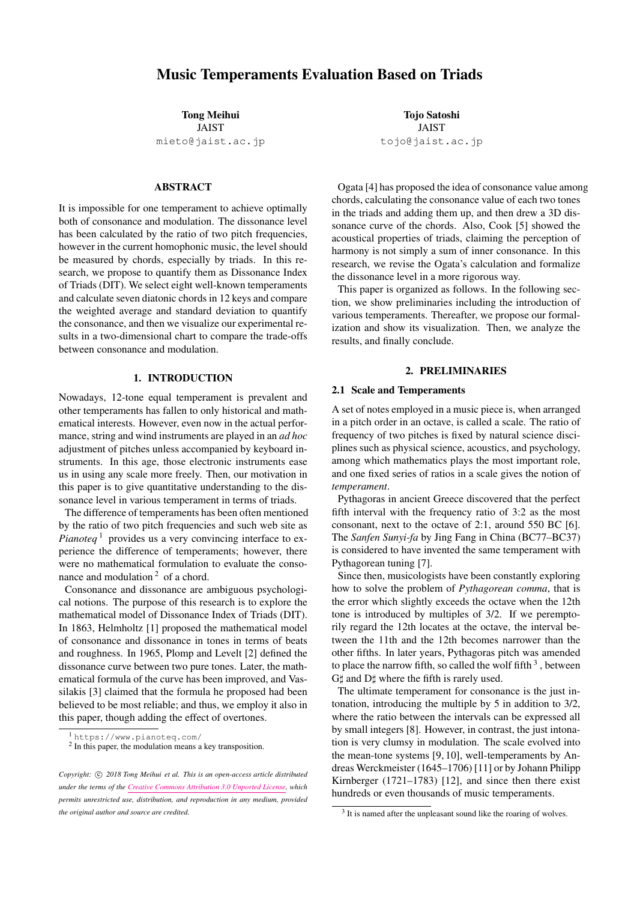Given a signal whose spectrum has two sinusoidal components with frequencies  $f_1$ ,  $f_2$  and amplitudes  $v_1$ ,  $v_2$ , where

$$
f_{min} = min(f_1, f_2), f_{max} = max(f_1, f_2),
$$
  

$$
v_{min} = min(v_1, v_2), v_{max} = max(v_1, v_2),
$$

the roughness (dissonance value) of  $d$  becomes:

$$
d(f_1, f_2, v_1, v_2) = X^{0.1} \cdot 0.5(Y^{3.11}) \cdot Z \tag{1}
$$

in which

$$
X = v_{min} \cdot v_{max}
$$
  
\n
$$
Y = 2v_{min}/(v_{min} + v_{max})
$$
  
\n
$$
Z = e^{-b_1 s (f_{max} - f_{min})} - e^{-b_2 s (f_{max} - f_{min})}
$$

with  $b_1 = 3.5, b_2 = 5.75$ ,

$$
s = \frac{0.24}{s_1 f_{min} + s_2}; s_1 = 0.0207; s_2 = 18.96.
$$

Vassilakis has confirmed that his formula reliably and efficiently represents the perception of roughness and performs better than the preceding formulae. Therefore, the temperament evaluation model in this paper is made under this function of dissonance curve.

We generalize the roughness value (1) to include multiple, more than two sinusoidal partials as the sum of each pair of two partials. Suppose a spectrum  $F$  with fundamental frequency  $f$  is a collection of  $n$  sinusoidal waves (or partials) with frequencies  $a_1f, a_2f, ..., a_nf$  and amplitudes  $v_1, v_2, \ldots, v_n$ . Also, we assume that each tone contains *n* overtones of  $[a_1, a_2, ..., a_n] = [1, 2, ..., n]$ . According to [4], we also assume that  $v_1, v_2, ..., v_n$  is a geometric progression with common ratio of 0.9; that is,  $v_1, v_2, ..., v_n =$  $1, 0.9, 0.81, \ldots, 0.9^{n-1}$ . So when two notes of  $F_1$  and  $F_2$ are played simultaneously, the dissonance value  $D(F_1, F_2)$ between them is

$$
D(F_1, F_2) = \sum_{i=1}^{n} \sum_{j=1}^{n} d(if_1, jf_2, v_i, v_j)
$$
 (2)

When  $F_1$  and  $F_2$  are at interval t and with the same amplitude (e.g.  $F_2 = tF_1$ ), the transposed version of F can be defined as  $tF$  with partials at  $tf$ ,  $2tf$ , ...,  $ntf$  and amplitudes  $v_1, v_2, ..., v_n$ . The roughness  $D_F(t)$  generated by the spectrum  $F$  is defined in function (3) and the shape of this function is shown in Figure  $2.^4$  This figure shows the comparison from a base tone to its seven overtones.

$$
D_F(t) = \sum_{i=1}^{n} \sum_{j=1}^{n} d(if, tjf, v_i, v_j),
$$
 (3)

#### 3. DISSONANCE INDEX OF TRIADS

Thus far, we have introduced the preceding works concerning the dissonance value between the intervals. In this section, we propose our new definition of the dissonance value for triads. Given three tones with the ratio of intervals  $1 < t_1 < t_2$ , we add up the three values of (3) as function (4) and draw Figure 3 based on this function.



Figure 2: Dissonance Value for Intervals, Dependent on Base Frequency



Figure 3: 3D Representation of Interval Dissonance in Triads

$$
D_F(t_1, t_2) = D_F(t_1) + D_F(t_2) + D_{t_1F}(\frac{t_2}{t_1}) \quad (4)
$$

where

$$
D_F(t_1) = \sum_{i=1}^n \sum_{j=1}^n d(i f, j t_1 f, v_i, v_j),
$$
  
\n
$$
D_F(t_2) = \sum_{i=1}^n \sum_{j=1}^n d(i f, j t_2 f, v_i, v_j),
$$
  
\n
$$
D_{t_1 F}(\frac{t_2}{t_1}) = \sum_{i=1}^n \sum_{j=1}^n d(i t_1 f, \frac{t_2}{t_1} j f, v_i, v_j).
$$

We have employed twelve major keys and twelve minor keys, each of which includes seven triads on diatonic notes, including three major triads, three minor triads, and one diminished triad (vii<sup>o</sup>). In this paper, we have omitted the harmonic and melodic minor scales. Therefore, since a pair of parallel keys consists of the same set of chords, we take 12 group of chords as research objects to evaluate the music temperaments.

In the first attempt, the average value of 12 group of chords in each temperament are calculated with our dissonance value model. According to the ratios in Table 1, we consider the frequencies of an octave starting from the central C, for three typical temperaments (Pythagorean tuning, just intonation and equal temperament) as examples. The results are shown in Figure 4.

<sup>4</sup> The figure is a reproduction, appearing in [4].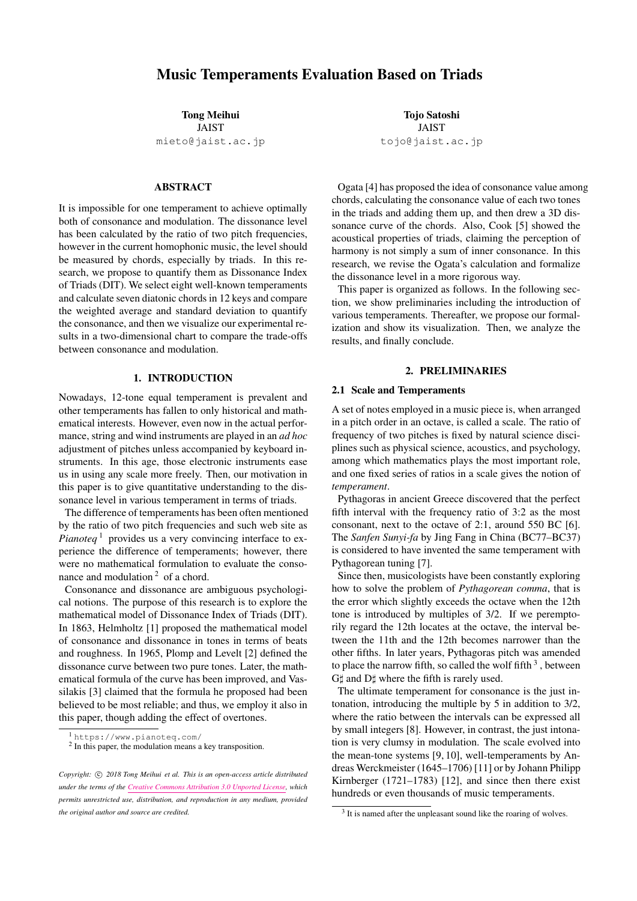

Figure 4: Relative Dissonance of Chords in a Major Scale, Compared to Equal Temperament

As we can see, even the equal temperament does not guarantee consistent values in different keys. The reason for this is obviously due to the different frequencies of the base pitches, resulting in different critical bandwidths. Therefore, in this paper, we choose to preserve the frequency ratios and to transpose the base pitch into a certain fixed value  $F_0$ . The adjusted model should no longer be called the dissonance level but an index to compare the consonance degree among different triads, and thus we call it the Dissonance Index of Triads (DIT) (5), hereafter.

$$
DIT(t_1, t_2) = D_{F_0}(t_1, t_2)
$$
\n(5)

We set the frequency of  $F_0$  to 263Hz, that is an approximate frequency of the central C.

#### 4. DIT IN TEMPERAMENTS

This chapter expounds the results of DIT values of triads in different temperaments. According to Figure 2, this research employs overtones upon the seven diatonic tones. We fix the ratio of amplitudes to be a geometric progression with 0.9 as mentioned before.

## 4.1 The Weighted Chords in Each Key

Prior to the evaluation, we have given the following weights  $[0.86 : 0.26 : 0.17 : 0.73 : 0.73 : 0.56 : 0]$  on each triads on the diatonic scale, based on the usage of the chords in 1300 popular songs<sup>5</sup> after transposed to C-major. Note that our objective here is to compare the average consonant level of various chords in different keys, and not to assess the human feeling; thus the transposition is a kind of approximation. The average consonant level is shown in Table 2, for each key and temperament.

For more intuitive and clear understanding, we compare the DIT between two triads chosen from the two different temperaments. In Figure 5, the horizontal axis of each graph represents the keys while the vertical axis represents the DIT value. Since the DIT value is adjusted from the dissonance value, the lower the DIT value is the more consonant the key is.

The comparison of the Sanfen Sunyi-fa and Pythagorean tuning is shown in the upper-left graph in Figure 5. We can see that because they share the same process of generation except for the location of the wolf fifth, the difference of DIT shifts in parallel. Similarly, the quarter-comma meantone and the conventional quarter-comma mean-tone, shown in the upper-right graph has the same property.

In the lower-left graph in Figure 5, we can hardly find the big difference between the two well temperaments along the horizontal trends. That is to say, the well temperaments tend to change slightly between adjacent keys, trying to distribute the dissonance reasonably to keep the balance, and thus there are no peaks in dissonance. They also especially ensures some commonly used keys such as C-major, D-major, F-major, and G-major, are in better consonance.

The lower-right graph in Figure 5shows the comparison between the just intonation and the equal temperament. We can see that the equal temperament presents a perfect horizontal line, which proves that it will sound always the same no matter what key it is. But, its DIT value is also relatively higher with no keys in better consonance. The just intonation has the lowest DIT value of all the results in a few keys such as C and  $\overline{Ab}$ , but the line goes up and down steeply and the dissonant keys are also obvious. We can easily read in this figure that the equal temperament and the just intonation are the two extremes in modulation and consonance.

#### 4.2 Consonance or Modulation

In accordance with the position of the wolf fifth or other adjustments, there are also difference in what keys they prefer. In fact, there is a difference in the degree of commonality of each key, which means we had better take the weights of keys into consideration. A survey of "The Most Popular Keys of All Music"<sup>6</sup> on Spotify<sup>TM</sup> in 2005 showed the data in Table 3. Here, we put a major key and its parallel key together because they share a common set of the diatonic chords.

Taking both the weights of keys and the diatonic chords into consideration, we visualize the balance between the consonance and modulation of temperaments as in Table 4, which is plotted in Figure 6. The horizontal axis shows the average DIT value with weights, which refers to the consonance level of the temperament, while the vertical axis represents the average standard deviation of chords and represents the smoothness of modulation. The lower the value is, the more easily the temperament can modulate. It is obvious that just intonation is outstanding at consonance but worse in modulation, and equal temperament is the opposite, that is, the easiest in modulation but the worst in consonance. Pythagorean tuning and Sanfen Sunyi-fa are staying at a similar level on modulation, and there are slight difference because of the weights in keys.

At last, the well-temperaments obtained a very good result; Kirnberger temperament does the best in consonance than all the other temperaments except for just intonation, and Werckmeister wins on modulation. Note that they locate just near on the line linked by just intonation and

<sup>5</sup> https://www.hooktheory.com/theorytab/

<sup>6</sup> https://insights.spotify.com/us/2015/05/06/most-popular-keys-onspotify/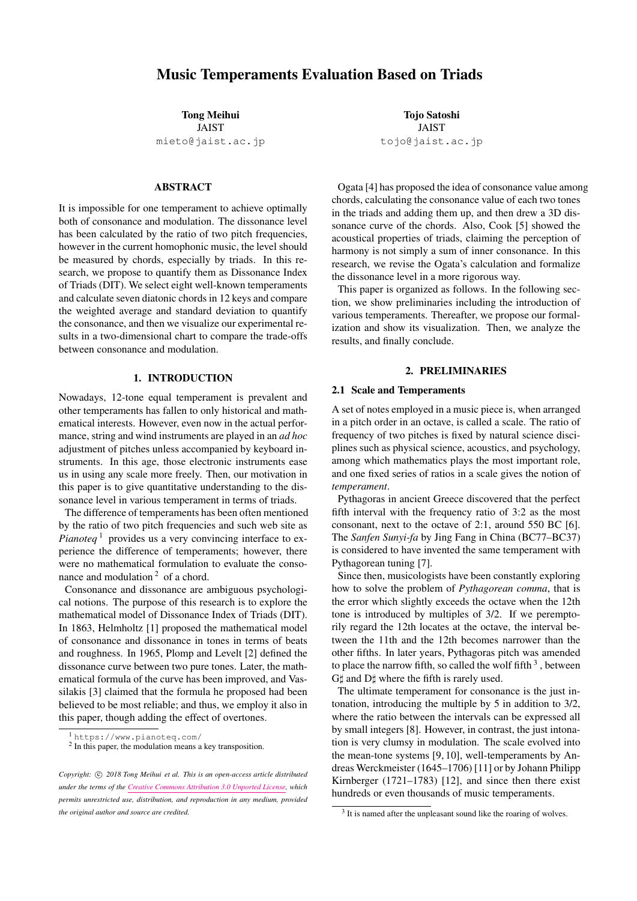|           | SS     | PT     | Л      | EТ     | QМ     | CQM    | $Wm$ . | Kb.    |
|-----------|--------|--------|--------|--------|--------|--------|--------|--------|
| C         | 0.9407 | 0.9478 | 0.8366 | 0.9276 | 0.8598 | 0.8598 | 0.8861 | 0.8668 |
| G         | 0.9478 | 0.9478 | 0.8514 | 0.9276 | 0.8598 | 0.8598 | 0.9084 | 0.8463 |
| D         | 0.9478 | 0.9250 | 0.9008 | 0.9276 | 0.9120 | 0.8598 | 0.9251 | 0.8744 |
| А         | 0.9478 | 0.8969 | 0.9811 | 0.9276 | 0.9926 | 0.8598 | 0.9261 | 0.9161 |
| E         | 0.9478 | 0.8521 | 1.0003 | 0.9276 | 1.0365 | 0.9120 | 0.9325 | 0.9443 |
| B         | 0.9478 | 0.8678 | 1.0151 | 0.9276 | 1.0544 | 0.9926 | 0.9385 | 0.9417 |
| $F\sharp$ | 0.9478 | 0.8956 | 0.9735 | 0.9276 | 1.0055 | 1.0365 | 0.9487 | 0.9435 |
| $C\sharp$ | 0.9250 | 0.9407 | 0.9215 | 0.9276 | 0.9382 | 1.0544 | 0.9478 | 0.9453 |
| $G\sharp$ | 0.8969 | 0.9478 | 0.8366 | 0.9276 | 0.8598 | 1.0055 | 0.9433 | 0.9485 |
| $D\sharp$ | 0.8521 | 0.9478 | 0.8514 | 0.9276 | 0.8598 | 0.9382 | 0.9321 | 0.9478 |
| $A\sharp$ | 0.8678 | 0.9478 | 0.8560 | 0.9276 | 0.8598 | 0.8598 | 0.9051 | 0.9380 |
| F         | 0.8956 | 0.9478 | 0.8720 | 0.9276 | 0.8598 | 0.8598 | 0.8865 | 0.9096 |

Table 2: Average Consonant Level of Chords in Different Keys in Each Temperament

| Mjor Keys      |          |                | Parallel Keys | Total    |  |  |
|----------------|----------|----------------|---------------|----------|--|--|
| C              | 10.20%   | $\overline{a}$ | $4.80\%$      | 15.00%   |  |  |
| G              | 10.70%   | $\epsilon$     | 4.20%         | 14.90%   |  |  |
| D              | 8.70%    | h              | 4.20%         | 12.90%   |  |  |
| $\overline{A}$ | $6.10\%$ | f♯             | $2.50\%$      | $8.60\%$ |  |  |
| E              | $3.60\%$ | c♯             | 2.10%         | 5.70%    |  |  |
| B              | 2.60%    | 9‡             | 1.20%         | $3.80\%$ |  |  |
| $F\sharp$      | 2.70%    | $d\sharp$      | $0.90\%$      | $3.60\%$ |  |  |
| $C\sharp$      | $6.00\%$ | $a\sharp$      | $3.20\%$      | $9.20\%$ |  |  |
| $G\sharp$      | $4.30\%$ | f              | $3.00\%$      | $7.30\%$ |  |  |
| $D\sharp$      | 2.40%    | C.             | 2.40%         | $4.80\%$ |  |  |
| Aţ             | 3.50%    | $\mathfrak{g}$ | $2.60\%$      | $6.10\%$ |  |  |
| F              | $5.30\%$ | d.             | $2.60\%$      | 7.90%    |  |  |

Table 3: Usage of Keys in Popular Music

equal temperament, which implies that they are balanced between the two criteria.

Here, we have to note that this graph is biased by the usage of chords found in SpotifyTM database, *i.e.*, the usage of chords are more inclined to that in the modern popular music. On the contrary, the mean-tone, dotted on the upper-right corner in the figure, was invented to obtain the clear resonance of the major third preferred in classicist age. It is easily guessed that if we employ the database of classical music the tendency would be different. The variety of distribution of dots in this space would surely reflect the difference of music genre, and this is our future work.

## 5. DISCUSSION AND CONCLUSION

We have proposed an index to show the numerical consonance level of triad, DIT, and have compared the difference of the level in various temperaments. Since chords on a scale may have different significance, we have weighted them by the number of appearance. The resultant difference has been visualized in various graphs.

Nowadays, we do not need to stick to the five-line staff based on 12-tone equal temperament in composing music

|                                 | Avg    | SD     |
|---------------------------------|--------|--------|
| Sanfen Sunyi-fa                 | 0.9245 | 0.0446 |
| Pythagorean Tuning              | 0.9277 | 0.0425 |
| <b>Just Intonation</b>          | 0.8981 | 0.0868 |
| Equal Temperament               | 0.9276 | 0.0000 |
| <b>Ouarter-Comma Meantone</b>   | 0.9154 | 0.0917 |
| <b>Conventional QC Meantone</b> | 0.9267 | 0.0972 |
| Werckmeister                    | 0.9227 | 0.0284 |
| Kirnberger                      | 0.9120 | 0.0491 |

Table 4: DIT Results (SD is the standard deviation)

since actual performance should tolerate micro-tones, outof-tune tones, portament, vibrating tunes, and so on. This tendency would be more salient in computer music age in future. It may be high time for us to reconsider traditional temperaments, to give special savors in music or to escape temporarily from the equal temperament, so that we should know the concrete difference in temperaments.

#### Acknowledgments

This work is supported by JSPS kaken 16H01744.

#### References

- [1] H. L. Helmholtz, *On the Sensations of Tone as a Phisiological Basis for the Theory of Music*. Dover, 1954.
- [2] R. Plomp and W. J. M. Levelt, "Tonal consonance and critical bandwidth," *The journal of the Acoustical Society of America*, vol. 38, no. 4, pp. 548–560, 1965.
- [3] P. N. Vassilakis, "Perceptual and physical properties of amplitude fluctuation and their musical significance," Ph.D. dissertation, University of California, Los Angeles, 2001.